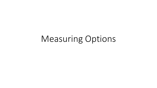# Measuring Options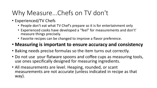## Why Measure...Chefs on TV don't

- Experienced/TV Chefs
	- People don't eat what TV Chef's prepare so it is for entertainment only
	- Experienced cooks have developed a "feel" for measurements and don't' measure things precisely.
	- Favorite recipes can be changed to improve a flavor preference.

#### • **Measuring is important to ensure accuracy and consistency**

- Baking needs precise formulas so the item turns out correctly.
- Do not use your flatware spoons and coffee cups as measuring tools, use ones specifically designed for measuring ingredients.
- All measurements are level. Heaping, rounded, or scant measurements are not accurate (unless indicated in recipe as that way).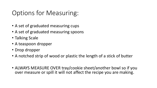## Options for Measuring:

- A set of graduated measuring cups
- A set of graduated measuring spoons
- Talking Scale
- A teaspoon dropper
- Drop dropper
- A notched strip of wood or plastic the length of a stick of butter
- ALWAYS MEASURE OVER tray/cookie sheet/another bowl so if you over measure or spill it will not affect the recipe you are making.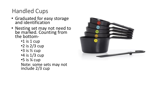### Handled Cups

- Graduated for easy storage and identification
- Nesting set may not need to be marked. Counting from the bottom-
	- •1 is 1 cup
	- •2 is 2/3 cup
	- •3 is ½ cup
	- •4 is 1/3 cup
	- •5 is ¼ cup
	- Note: some sets may not include 2/3 cup

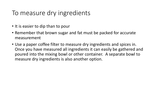### To measure dry ingredients

- It is easier to dip than to pour
- Remember that brown sugar and fat must be packed for accurate measurement
- Use a paper coffee filter to measure dry ingredients and spices in. Once you have measured all ingredients it can easily be gathered and poured into the mixing bowl or other container. A separate bowl to measure dry ingredients is also another option.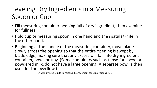## Leveling Dry Ingredients in a Measuring Spoon or Cup

- Fill measuring container heaping full of dry ingredient; then examine for fullness.
- Hold cup or measuring spoon in one hand and the spatula/knife in the other hand.
- Beginning at the handle of the measuring container, move blade slowly across the opening so that the entire opening is swept by blade edge, making sure that any excess will fall into dry ingredient container, bowl, or tray. (Some containers such as those for cocoa or powdered milk, do not have a large opening. A separate bowl is then used for the overflow.)
	- A Step-by-Step Guide to Personal Management for Blind Persons. AFB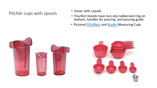#### Pitcher cups with spouts

- Easier with Liquids
- Pourfect brands have non-slip rubberized ring on bottom, handles for pouring, and pouring guide
- Pictured [POURfect](https://pourfect-products.myshopify.com/collections/collectibles-kitchen-home-kitchenware-utensils-measuring-cups-spoons/products/pourfect-1-2-4-cup-patriotic-beakers-made-in-usa-ships-directly-from-the-manufacturer) and [Braille](https://www.maxiaids.com/braille-and-tactile-measuring-cups-red) Measuring Cups

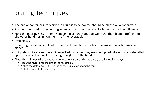### Pouring Techniques

- The cup or container into which the liquid is to be poured should be placed on a flat surface
- Position the spout of the pouring vessel at the rim of the receptacle before the liquid flows out.
- Hold the pouring vessel in one hand and place the spout between the thumb and forefinger of the other hand, resting on the rim of the receptacle.
- Pour slowly
- If pouring container is full, adjustment will need to be made in the angle to which it may be tipped.
- If liquids or oils are kept in a wide-necked container, they may be dipped into with a long-handled spoon, bent so the bowl forms a right angle with the handle.
- Note the fullness of the receptacle in one, or a combination of, the following ways
	- Place the finger over the rim of the receptacle
	- Notice the difference in the sound of the liquid as it nears the top
	- Note the weight of the receptacle.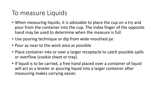### To measure Liquids

- When measuring liquids, it is advisable to place the cup on a try and pour from the container into the cup. The index finger of the opposite hand may be used to determine when the measure is full.
- Use pouring technique or dip from wide-mouthed jar.
- Pour as near to the work area as possible
- Place container into or over a larger receptacle to catch possible spills or overflow (cookie sheet or tray).
- If liquid is to be carried, a free hand placed over a container of liquid will act as a leveler or pouring liquid into a larger container after measuring makes carrying easier.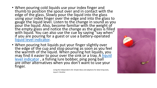- When pouring cold liquids use your index finger and thumb to position the spout over and in contact with the edge of the glass. Slowly pour the liquid into the glass using your index finger over the edge and into the glass to gauge the liquid level. Listen to the change in sound as you pour the liquid. Also, become familiar with the weight of the empty glass and notice the change as the glass is filled with liquid. You can also use the cue by saying "say when" if you are pouring for a guest or use a battery-operated [liquid level indicator.](https://www.maxiaids.com/dual-sound-liquid-level-indicator)
- When pouring hot liquids put your finger slightly over the edge of the cup and stop pouring as soon as you feel the warmth of the liquid. When pouring hot liquids, you [may find it easier to pour over the sink or a tray. A liquid](https://www.maxiaids.com/dual-sound-liquid-level-indicator) level indicator, a fishing lure bobber, ping pong ball are other alternatives when you don't want to use your finger.

Living the Independent Life: Simple Ideas and adaptions for daily living tasks, Joyce E. Strother

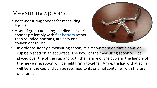## Measuring Spoons

- Bent measuring spoons for measuring liquids
- A set of graduated long-handled measuring spoons preferably with [flat bottom](https://www.amazon.com/Chefrock-Measuring-Spoons-Premium-Stainless/dp/B07NQ6TJXS/ref=sr_1_28?crid=2B6I2TMVAB7PJ&keywords=flat+bottom+measuring+spoons&qid=1637402706&qsid=138-1242749-0033949&sprefix=flat+bottom+measuring+spoons%2Caps%2C169&sr=8-28&sres=B07PXM749F%2CB013FW3AKG%2CB07TJMTQTN%2CB06X3X33GW%2CB01JYETZGC%2CB07VKJYY3N%2CB015NYP6L0%2CB082DV3B7V%2CB07VRKTYHS%2CB01IMST0ZW%2CB07S6SFFCB%2CB07BG95Q77%2CB00004SU1I%2CB06W5FQJQX%2CB085G6Z8YR%2CB01E2HU4A2%2CB005KDCMN0%2CB07PX3X5ZT%2CB07SS448PK%2CB08MQ6F2Z5&srpt=MEASURING_CUP) rather than rounded bottoms, are easy and convenient to use



In order to steady a measuring spoon, it is recommended that a handled cup be placed on a flat surface. The bowl of the measuring spoon will be placed over the of the cup and both the handle of the cup and the handle of the measuring spoon will be held firmly together. Any extra liquid that spills will be in the cup and can be returned to its original container with the use of a funnel.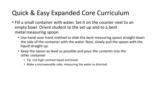## Quick & Easy Expanded Core Curriculum

- Fill a small container with water. Set it on the counter next to an empty bowl. Orient student to the set-up and to a bent metal measuring spoon
	- Use hand-over-hand method to slide the bent measuring spoon straight down the side of the container with the water. Next, slowly pull the spoon with the liquid straight up.
	- Keep the spoon as level as possible and pour the contents into the other container
		- Tip: Use high-contrast liquid and bowls
		- Make a microwavable cake, measuring the water as directed.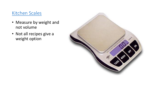#### [Kitchen Scales](https://www.maxiaids.com/vox-2-talking-kitchen-scale)

- Measure by weight and not volume
- Not all recipes give a weight option

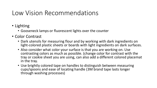### Low Vision Recommendations

- Lighting
	- Gooseneck lamps or fluorescent lights over the counter
- Color Contrast
	- Dark utensils for measuring flour and by working with dark ingredients on light-colored plastic sheets or boards with light ingredients on dark surfaces.
	- Also consider what color your surface is that you are working on. Use contrasting colors as much as possible. (change color for contrast with the tray or cookie sheet you are using, can also add a different colored placemat in the tray.
	- Use brightly colored tape on handles to distinguish between measuring cups/spoons and ease of locating handle (3M brand tape lasts longer through washing processes)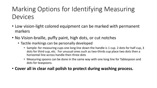## Marking Options for Identifying Measuring Devices

- Low vision-light colored equipment can be marked with permanent markers
- No Vision-braille, puffy paint, high dots, or cut notches
	- Tactile markings can be personally developed
		- Sample: for measuring cups one long line down the handle is 1 cup. 2 dots for half cup, 3 dots for third cup, etc. For unusual ones such as two-thirds cup place two dots then a horizontal line across handle then three dots
		- Measuring spoons can be done in the same way with one long line for Tablespoon and dots for teaspoons.
- **Cover all in clear nail polish to protect during washing process.**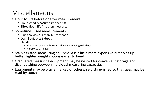## Miscellaneous

- Flour to sift before or after measurement.
	- Flour sifted-Measure first then sift
	- Sifted flour-Sift first then measure.
- Sometimes used measurements:
	- Pinch solids=less than 1/8 teaspoon
	- Dash liquids = 2-3 drops
	- Handful
		- Flour= to keep dough from sticking when being rolled out.
		- Herbs= 12-15 leaves
- Stainless steel measuring equipment is a little more expensive but holds up better, lighter weight spoons easier to bend
- Graduated measuring equipment may be nested for convenient storage and distinguishing between individual measuring capacities
- Equipment may be braille marked or otherwise distinguished so that sizes may be read by touch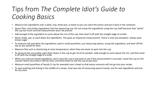## Tips from *The Complete Idiot's Guide to Cooking Basics*

- Measure dry ingredients over a plate, tray, sheet pan, or bowl so you can catch the excess and put it back in the container.
- Spoon flour and similar ingredients into the measuring cup. Do not scoop the ingredients using the cup itself because that "packs" the cup too much and the measurement won't be precise.
- Add enough of the ingredient to come above the rim of the cup, then level it off with the straight edge of a knife.
- Never shake, pat, or pack down dry ingredients. This gives an imprecise measurement. There is only one exception: always pack brown sugar
- To measure salt and other dry ingredients used in small quantities, use measuring spoons, scoop the ingredient, and level off the top as you would for flour.
- Measure fats such as shortening at room temperature, when they are easier to pack into the cup.
- To measure fats accurately, pack them down in the cup to get rid of air pockets. Add enough to come above the rim, and then level it off with the straight edge of a knife.
- When you measure liquid ingredients, don't raise the cup to eye level to see if the measurement is accurate. Leave the cup on the counter where you know it will be level, and bend down to see the cup at eye level.
- Measure small quantities of liquids (1 tsp for example) over a bowl so that excess amounts will not go into your recipe.
- To save washing and drying in the middle of a recipe, have two sets of measuring spoons handy: one for wet ingredients and one for dry ones.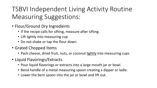TSBVI Independent Living Activity Routine Measuring Suggestions:

- Flour/Ground Dry Ingredients
	- If the recipe calls for sifting, measure after sifting.
	- Lift lightly into measuring cup
	- Do not shake or tap the flour down
- Grated Chopped Items
	- Pack cheese, dried fruit, nuts, or coconut lightly into measuring cups
- Liquid Flavorings/Extracts
	- Pour liquid flavorings or extracts into a large mouth jar or bowl.
	- Bend handle of a metal measuring spoon creating a dipper or ladle.
	- Lower the bent spoon into the jar or bowl and lift out.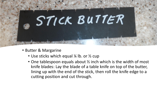

- Butter & Margarine
	- Use sticks which equal 1/4 lb. or 1/2 cup
	- One tablespoon equals about ½ inch which is the width of most knife blades: Lay the blade of a table knife on top of the butter, lining up with the end of the stick, then roll the knife edge to a cutting position and cut through.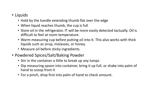#### • Liquids

- Hold by the handle extending thumb flat over the edge
- When liquid reaches thumb, the cup is full
- Store oil in the refrigerator. IT will be more easily detected tactually. Oil is difficult to feel at room temperature.
- Warm measuring cup before putting oil into it. This also works with thick liquids such as sirup, molasses, or honey.
- Measure oil before sticky ingredients.
- Powdered Spices/Salt/Baking Powder
	- Stir in the container a little to break up any lumps
	- Dip measuring spoon into container, bring it up full, or shake into palm of hand to scoop from it
	- For a pinch, drop first into palm of hand to check amount.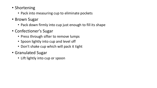- Shortening
	- Pack into measuring cup to eliminate pockets
- Brown Sugar
	- Pack down firmly into cup just enough to fill its shape
- Confectioner's Sugar
	- Press through sifter to remove lumps
	- Spoon lightly into cup and level off
	- Don't shake cup which will pack it tight
- Granulated Sugar
	- Lift lightly into cup or spoon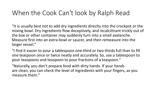### When the Cook Can't look by Ralph Read

"It is usually best not to add dry ingredients direclty into the crockpot or the mixing bowl. Dry ingredients flow deceptively, and recalcittrant trickly out of the box or other container may suddenly turn into a small avalanche. Measure first into an extra bowl or saucer, and then remeasure into the larger vessel."

"I find it easier to pour a tablespoon one-third or two-thirds full than to fill one teaspoon once or twice neatly and accurately. So, use a tablespoon to pour teaspoons and teaspoon to pour fractions of a teaspoon."

"Naturally, you don't prepare food with dirty hands. If your hands are clean, you can check the level of ingredients with your fingers, as you measure them."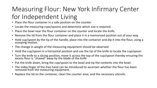## Measuring Flour: New York Infirmary Center for Independent Living

- Place the flour container in a safe position on the counter
- Locate the measuring cups/spoons and determine which size is required.
- Place the bowl near the flour container on the counter and locate the knife.
- Remove the lid from the flour container and place it in a memorized position out of your way.
- Hold cup/spoon by the tip of the handle, place into the container and dip it into the flour, using a scooping motion.
- The change in weight of the measuring equipment should be observed
- Hold the cup/spoon in a horizontal position and use the tip of the knife to locate the cup/spoon
- Turn the knife to a slicing position, move it across the top of the cup/spoon thereby ensuring the excess flour is "shaved" away by the blade of the knife
- Put the knife down, bring the cup/spoon to the bowl and tip the contents into the bowl.
- The index finger of the free hand can be introduced to ascertain whether the flour has been removed from the measuring equipment.
- Replace the lid on the container, clean the counter area, and the necessary utensils.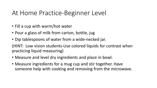### At Home Practice-Beginner Level

- Fill a cup with warm/hot water
- Pour a glass of milk from carton, bottle, jug
- Dip tablespoons of water from a wide-necked jar.

(HINT: Low vision students-Use colored liquids for contrast when practicing liquid measuring)

- Measure and level dry ingredients and place in bowl.
- Measure ingredients for a mug cup and stir together. Have someone help with cooking and removing from the microwave.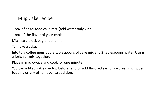#### Mug Cake recipe

1 box of angel food cake mix (add water only kind)

1 box of the flavor of your choice

Mix into ziplock bag or container.

To make a cake:

Into to a coffee mug add 3 tablespoons of cake mix and 2 tablespoons water. Using a fork, stir mix together.

Place in microwave and cook for one minute.

You can add sprinkles on top beforehand or add flavored syrup, ice cream, whipped topping or any other favorite addition.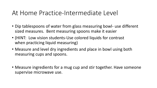#### At Home Practice-Intermediate Level

- Dip tablespoons of water from glass measuring bowl- use different sized measures. Bent measuring spoons make it easier
- (HINT: Low vision students-Use colored liquids for contrast when practicing liquid measuring)
- Measure and level dry ingredients and place in bowl using both measuring cups and spoons.
- Measure ingredients for a mug cup and stir together. Have someone supervise microwave use.